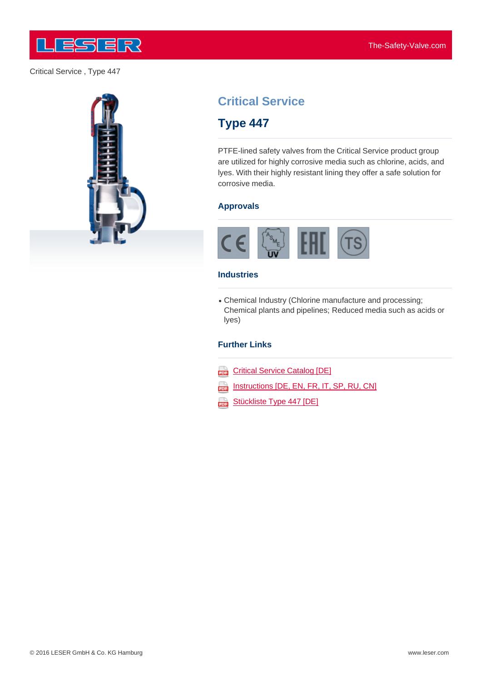

### Critical Service , Type 447





# **Critical Service**

## **Type 447**

PTFE-lined safety valves from the Critical Service product group are utilized for highly corrosive media such as chlorine, acids, and lyes. With their highly resistant lining they offer a safe solution for corrosive media.

#### **Approvals**



#### **Industries**

Chemical Industry (Chlorine manufacture and processing; Chemical plants and pipelines; Reduced media such as acids or lyes)

#### **Further Links**

- Critical Service Catalog [DE] eos
- Instructions [DE, EN, FR, IT, SP, RU, CN] क्रो
- [Stücklis](http://www.leser.com/fileadmin/content/Download/broschueren&kataloge/Kataloge/Critical Service/Critical_Service_Catalog_DE.pdf)te [Type](http://www.leser.com/fileadmin/content/Download/broschueren&kataloge/Kataloge/Critical Service/Critical_Service_Catalog_DE.pdf) [447](http://www.leser.com/fileadmin/content/Download/broschueren&kataloge/Kataloge/Critical Service/Critical_Service_Catalog_DE.pdf) [D[E\]](http://www.leser.com/fileadmin/content/Download/broschueren&kataloge/Kataloge/Critical Service/Critical_Service_Catalog_DE.pdf) œ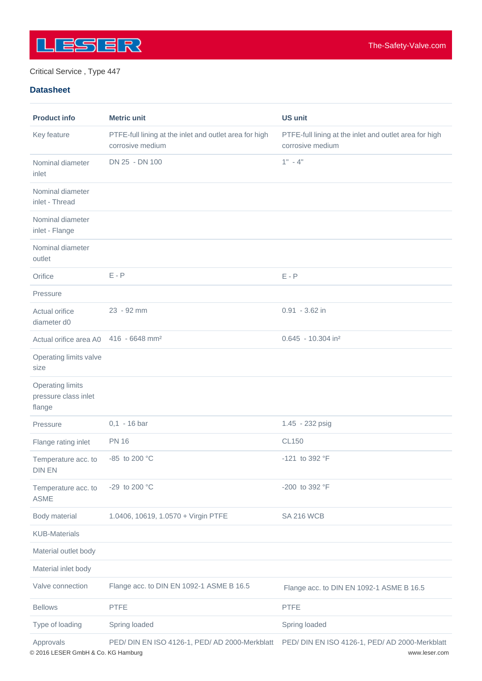

#### Critical Service , Type 447

#### **Datasheet**

| <b>Product info</b>                                       | <b>Metric unit</b>                                                         | <b>US unit</b>                                                             |
|-----------------------------------------------------------|----------------------------------------------------------------------------|----------------------------------------------------------------------------|
| Key feature                                               | PTFE-full lining at the inlet and outlet area for high<br>corrosive medium | PTFE-full lining at the inlet and outlet area for high<br>corrosive medium |
| Nominal diameter<br>inlet                                 | DN 25 - DN 100                                                             | $1" - 4"$                                                                  |
| Nominal diameter<br>inlet - Thread                        |                                                                            |                                                                            |
| Nominal diameter<br>inlet - Flange                        |                                                                            |                                                                            |
| Nominal diameter<br>outlet                                |                                                                            |                                                                            |
| Orifice                                                   | $E - P$                                                                    | $E - P$                                                                    |
| Pressure                                                  |                                                                            |                                                                            |
| <b>Actual orifice</b><br>diameter d0                      | 23 - 92 mm                                                                 | $0.91 - 3.62$ in                                                           |
| Actual orifice area A0                                    | $416 - 6648$ mm <sup>2</sup>                                               | $0.645 - 10.304$ in <sup>2</sup>                                           |
| Operating limits valve<br>size                            |                                                                            |                                                                            |
| <b>Operating limits</b><br>pressure class inlet<br>flange |                                                                            |                                                                            |
| Pressure                                                  | $0,1 - 16$ bar                                                             | 1.45 - 232 psig                                                            |
| Flange rating inlet                                       | <b>PN 16</b>                                                               | <b>CL150</b>                                                               |
| Temperature acc. to<br><b>DIN EN</b>                      | -85 to 200 °C                                                              | -121 to 392 °F                                                             |
| Temperature acc. to<br><b>ASME</b>                        | -29 to 200 °C                                                              | -200 to 392 °F                                                             |
| Body material                                             | 1.0406, 10619, 1.0570 + Virgin PTFE                                        | <b>SA 216 WCB</b>                                                          |
| <b>KUB-Materials</b>                                      |                                                                            |                                                                            |
| Material outlet body                                      |                                                                            |                                                                            |
| Material inlet body                                       |                                                                            |                                                                            |
| Valve connection                                          | Flange acc. to DIN EN 1092-1 ASME B 16.5                                   | Flange acc. to DIN EN 1092-1 ASME B 16.5                                   |
| <b>Bellows</b>                                            | <b>PTFE</b>                                                                | <b>PTFE</b>                                                                |
| Type of loading                                           | Spring loaded                                                              | Spring loaded                                                              |
| Approvals                                                 | PED/ DIN EN ISO 4126-1, PED/ AD 2000-Merkblatt                             | PED/ DIN EN ISO 4126-1, PED/ AD 2000-Merkblatt                             |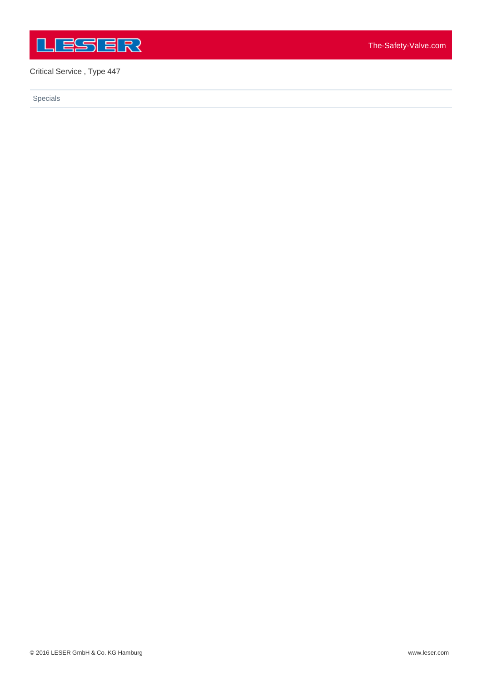

 $\frac{447}{126}$ Critical Service , Type 447

Specials